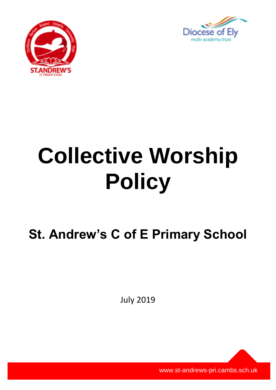



# **Collective Worship Policy**

**St. Andrew's C of E Primary School**

July 2019

www.st-andrews-pri.cambs.sch.uk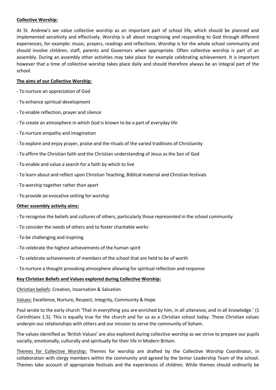## **Collective Worship:**

At St. Andrew's we value collective worship as an important part of school life, which should be planned and implemented sensitivity and effectively. Worship is all about recognising and responding to God through different experiences, for example: music, prayers, readings and reflections. Worship is for the whole school community and should involve children, staff, parents and Governors when appropriate. Often collective worship is part of an assembly. During an assembly other activities may take place for example celebrating achievement. It is important however that a time of collective worship takes place daily and should therefore always be an integral part of the school.

# **The aims of our Collective Worship:**

- To nurture an appreciation of God
- To enhance spiritual development
- To enable reflection, prayer and silence
- To create an atmosphere in which God is known to be a part of everyday life
- To nurture empathy and imagination
- To explore and enjoy prayer, praise and the rituals of the varied traditions of Christianity
- To affirm the Christian faith and the Christian understanding of Jesus as the Son of God
- To enable and value a search for a faith by which to live
- To learn about and reflect upon Christian Teaching, Biblical material and Christian festivals
- To worship together rather than apart
- To provide an evocative setting for worship

### **Other assembly activity aims:**

- To recognise the beliefs and cultures of others, particularly those represented in the school community
- To consider the needs of others and to foster charitable works
- To be challenging and inspiring
- To celebrate the highest achievements of the human spirit
- To celebrate achievements of members of the school that are held to be of worth
- To nurture a thought provoking atmosphere allowing for spiritual reflection and response

### **Key Christian Beliefs and Values explored during Collective Worship:**

Christian beliefs: Creation, Incarnation & Salvation

Values: Excellence, Nurture, Respect, Integrity, Community & Hope

Paul wrote to the early church 'That in everything you are enriched by him, in all utterance, and in all knowledge.' (1 Corinthians 1.5). This is equally true for the church and for us as a Christian school today. These Christian values underpin our relationships with others and our mission to serve the community of Soham.

The values identified as 'British Values' are also explored during collective worship as we strive to prepare our pupils socially, emotionally, culturally and spiritually for their life in Modern Britain.

Themes for Collective Worship: Themes for worship are drafted by the Collective Worship Coordinator, in collaboration with clergy members within the community and agreed by the Senior Leadership Team of the school. Themes take account of appropriate festivals and the experiences of children. While themes should ordinarily be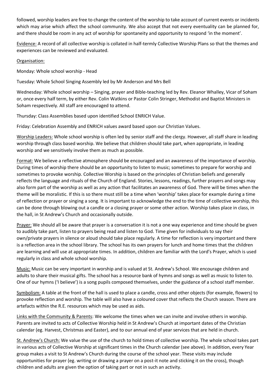followed, worship leaders are free to change the content of the worship to take account of current events or incidents which may arise which affect the school community. We also accept that not every eventuality can be planned for, and there should be room in any act of worship for spontaneity and opportunity to respond 'in the moment'.

Evidence: A record of all collective worship is collated in half-termly Collective Worship Plans so that the themes and experiences can be reviewed and evaluated.

# Organisation:

Monday: Whole school worship - Head

Tuesday: Whole School Singing Assembly led by Mr Anderson and Mrs Bell

Wednesday: Whole school worship – Singing, prayer and Bible-teaching led by Rev. Eleanor Whalley, Vicar of Soham or, once every half term, by either Rev. Colin Watkins or Pastor Colin Stringer, Methodist and Baptist Ministers in Soham respectively. All staff are encouraged to attend.

Thursday: Class Assemblies based upon identified School ENRICH Value.

Friday: Celebration Assembly and ENRICH values award based upon our Christian Values.

Worship Leaders: Whole school worship is often led by senior staff and the clergy. However, all staff share in leading worship through class based worship. We believe that children should take part, when appropriate, in leading worship and we sensitively involve them as much as possible.

Format: We believe a reflective atmosphere should be encouraged and an awareness of the importance of worship. During times of worship there should be an opportunity to listen to music; sometimes to prepare for worship and sometimes to provoke worship. Collective Worship is based on the principles of Christian beliefs and generally reflects the language and rituals of the Church of England. Stories, lessons, readings, further prayers and songs may also form part of the worship as well as any action that facilitates an awareness of God. There will be times when the theme will be moralistic. If this is so there must still be a time when 'worship' takes place for example during a time of reflection or prayer or singing a song. It is important to acknowledge the end to the time of collective worship, this can be done through blowing out a candle or a closing prayer or some other action. Worship takes place in class, in the hall, in St Andrew's Church and occasionally outside.

Prayer: We should all be aware that prayer is a conversation it is not a one way experience and time should be given to audibly take part, listen to prayers being read and listen to God. Time given for individuals to say their own/private prayers in silence or aloud should take place regularly. A time for reflection is very important and there is a reflection area in the school library. The school has its own prayers for lunch and home times that the children are learning and will use at appropriate times. In addition, children are familiar with the Lord's Prayer, which is used regularly in class and whole school worship.

Music: Music can be very important in worship and is valued at St. Andrew's School. We encourage children and adults to share their musical gifts. The school has a resource bank of hymns and songs as well as music to listen to. One of our hymns ('I believe') is a song pupils composed themselves, under the guidance of a school staff member.

Symbolism: A table at the front of the hall is used to place a candle, cross and other objects (for example, flowers) to provoke reflection and worship. The table will also have a coloured cover that reflects the Church season. There are artefacts within the R.E. resources which may be used as aids.

Links with the Community & Parents: We welcome the times when we can invite and involve others in worship. Parents are invited to acts of Collective Worship held in St Andrew's Church at important dates of the Christian calendar (eg. Harvest, Christmas and Easter), and to our annual end of year services that are held in church.

St. Andrew's Church: We value the use of the church to hold times of collective worship. The whole school takes part in various acts of Collective Worship at significant times in the Church calendar (see above). In addition, every Year group makes a visit to St Andrew's Church during the course of the school year. These visits may include opportunities for prayer (eg. writing or drawing a prayer on a post-it note and sticking it on the cross), though children and adults are given the option of taking part or not in such an activity.